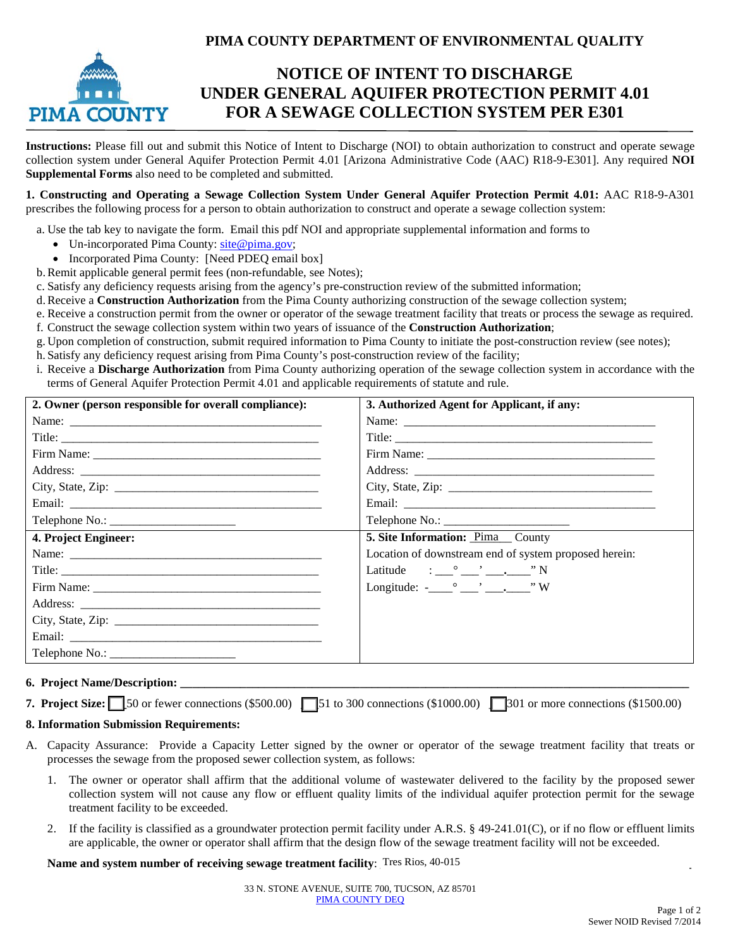# **PIMA COUNTY DEPARTMENT OF ENVIRONMENTAL QUALITY**



# **NOTICE OF INTENT TO DISCHARGE UNDER GENERAL AQUIFER PROTECTION PERMIT 4.01 FOR A SEWAGE COLLECTION SYSTEM PER E301**

**Instructions:** Please fill out and submit this Notice of Intent to Discharge (NOI) to obtain authorization to construct and operate sewage collection system under General Aquifer Protection Permit 4.01 [Arizona Administrative Code (AAC) R18-9-E301]. Any required **NOI Supplemental Forms** also need to be completed and submitted.

**1. Constructing and Operating a Sewage Collection System Under General Aquifer Protection Permit 4.01:** AAC R18-9-A301 prescribes the following process for a person to obtain authorization to construct and operate a sewage collection system:

a. Use the tab key to navigate the form. Email this pdf NOI and appropriate supplemental information and forms to

- Un-incorporated Pima County: [site@pima.gov;](mailto:site@pima.gov)
- Incorporated Pima County: [Need PDEO email box]
- b.Remit applicable general permit fees (non-refundable, see Notes);

c. Satisfy any deficiency requests arising from the agency's pre-construction review of the submitted information;

d.Receive a **Construction Authorization** from the Pima County authorizing construction of the sewage collection system;

- e. Receive a construction permit from the owner or operator of the sewage treatment facility that treats or process the sewage as required.
- f. Construct the sewage collection system within two years of issuance of the **Construction Authorization**;
- g. Upon completion of construction, submit required information to Pima County to initiate the post-construction review (see notes);
- h. Satisfy any deficiency request arising from Pima County's post-construction review of the facility;
- i. Receive a **Discharge Authorization** from Pima County authorizing operation of the sewage collection system in accordance with the terms of General Aquifer Protection Permit 4.01 and applicable requirements of statute and rule.

| 2. Owner (person responsible for overall compliance): | 3. Authorized Agent for Applicant, if any:                                                                                                                                                                                                                                                                                                                                                                                                                                                                                                                                                |
|-------------------------------------------------------|-------------------------------------------------------------------------------------------------------------------------------------------------------------------------------------------------------------------------------------------------------------------------------------------------------------------------------------------------------------------------------------------------------------------------------------------------------------------------------------------------------------------------------------------------------------------------------------------|
| Name:                                                 |                                                                                                                                                                                                                                                                                                                                                                                                                                                                                                                                                                                           |
|                                                       |                                                                                                                                                                                                                                                                                                                                                                                                                                                                                                                                                                                           |
|                                                       |                                                                                                                                                                                                                                                                                                                                                                                                                                                                                                                                                                                           |
|                                                       |                                                                                                                                                                                                                                                                                                                                                                                                                                                                                                                                                                                           |
|                                                       |                                                                                                                                                                                                                                                                                                                                                                                                                                                                                                                                                                                           |
|                                                       |                                                                                                                                                                                                                                                                                                                                                                                                                                                                                                                                                                                           |
|                                                       |                                                                                                                                                                                                                                                                                                                                                                                                                                                                                                                                                                                           |
| 4. Project Engineer:                                  | 5. Site Information: Pima County                                                                                                                                                                                                                                                                                                                                                                                                                                                                                                                                                          |
|                                                       | Location of downstream end of system proposed herein:                                                                                                                                                                                                                                                                                                                                                                                                                                                                                                                                     |
|                                                       | Latitude $\qquad \qquad : \qquad \qquad \cdots \qquad \qquad \qquad \cdots$ $\qquad \qquad \cdots$ $\qquad \qquad \cdots$ $\qquad \qquad \cdots$                                                                                                                                                                                                                                                                                                                                                                                                                                          |
|                                                       | Longitude: $-\frac{\circ}{\cdot} - \cdot - \cdot - \cdot - \cdot - \cdot - \cdot - \cdot + \cdot - \cdot + \cdot - \cdot + \cdot - \cdot + \cdot - \cdot + \cdot - \cdot + \cdot - \cdot + \cdot - \cdot + \cdot - \cdot + \cdot - \cdot + \cdot - \cdot + \cdot - \cdot + \cdot - \cdot + \cdot - \cdot + \cdot - \cdot + \cdot - \cdot + \cdot - \cdot + \cdot - \cdot + \cdot - \cdot + \cdot - \cdot + \cdot - \cdot + \cdot - \cdot + \cdot - \cdot + \cdot - \cdot + \cdot + \cdot + \cdot - \cdot + \cdot - \cdot + \cdot - \cdot + \cdot - \cdot + \cdot - \cdot + \cdot - \cdot$ |
|                                                       |                                                                                                                                                                                                                                                                                                                                                                                                                                                                                                                                                                                           |
|                                                       |                                                                                                                                                                                                                                                                                                                                                                                                                                                                                                                                                                                           |
|                                                       |                                                                                                                                                                                                                                                                                                                                                                                                                                                                                                                                                                                           |
|                                                       |                                                                                                                                                                                                                                                                                                                                                                                                                                                                                                                                                                                           |

#### **6. Project Name/Description: \_\_\_\_\_\_\_\_\_\_\_\_\_\_\_\_\_\_\_\_\_\_\_\_\_\_\_\_\_\_\_\_\_\_\_\_\_\_\_\_\_\_\_\_\_\_\_\_\_\_\_\_\_\_\_\_\_\_\_\_\_\_\_\_\_\_\_\_\_\_\_\_\_\_\_\_\_\_\_\_\_\_\_\_\_**

**7. Project Size:**  $\Box$  50 or fewer connections (\$500.00)  $\Box$  51 to 300 connections (\$1000.00)  $\Box$  301 or more connections (\$1500.00)

#### **8. Information Submission Requirements:**

- A. Capacity Assurance: Provide a Capacity Letter signed by the owner or operator of the sewage treatment facility that treats or processes the sewage from the proposed sewer collection system, as follows:
	- 1. The owner or operator shall affirm that the additional volume of wastewater delivered to the facility by the proposed sewer collection system will not cause any flow or effluent quality limits of the individual aquifer protection permit for the sewage treatment facility to be exceeded.
	- 2. If the facility is classified as a groundwater protection permit facility under A.R.S. § 49-241.01(C), or if no flow or effluent limits are applicable, the owner or operator shall affirm that the design flow of the sewage treatment facility will not be exceeded.

Name and system number of receiving sewage treatment facility: Tres Rios, 40-015